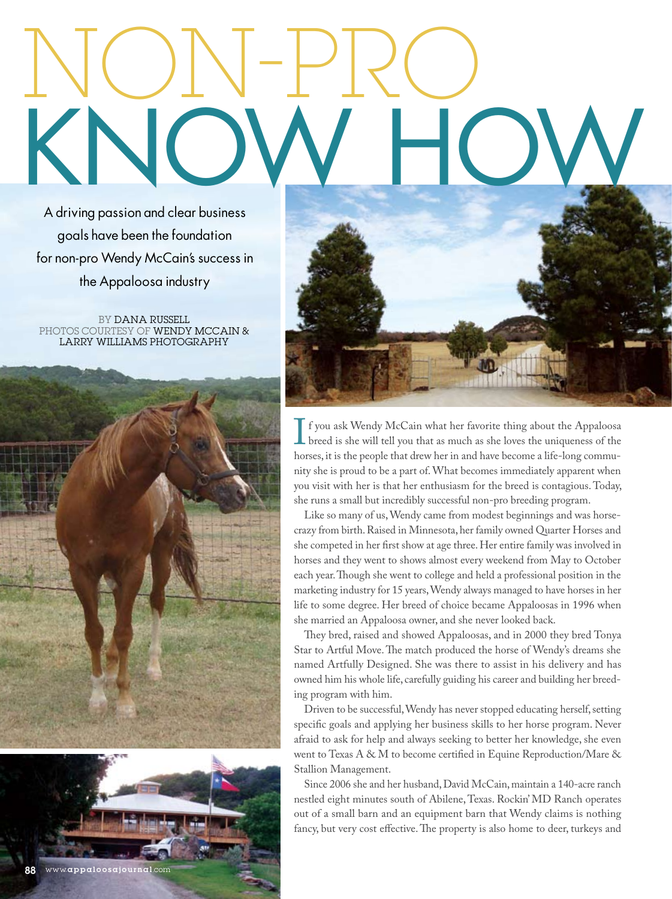# MON-PRO KNOW HOW

A driving passion and clear business goals have been the foundation for non-pro Wendy McCain's success in the Appaloosa industry

BY DANA RUSSELL PHOTOS COURTESY OF WENDY MCCAIN & LARRY WILLIAMS PHOTOGRAPHY





If you ask Wendy McCain what her favorite thing about the Appaloosa<br>breed is she will tell you that as much as she loves the uniqueness of the<br>horses. it is the people that drew her in and have become a life-long commubreed is she will tell you that as much as she loves the uniqueness of the horses, it is the people that drew her in and have become a life-long community she is proud to be a part of.What becomes immediately apparent when you visit with her is that her enthusiasm for the breed is contagious. Today, she runs a small but incredibly successful non-pro breeding program.

Like so many of us,Wendy came from modest beginnings and was horsecrazy from birth.Raised in Minnesota, her family owned Quarter Horses and she competed in her first show at age three. Her entire family was involved in horses and they went to shows almost every weekend from May to October each year. Though she went to college and held a professional position in the marketing industry for 15 years,Wendy always managed to have horses in her life to some degree. Her breed of choice became Appaloosas in 1996 when she married an Appaloosa owner, and she never looked back.

They bred, raised and showed Appaloosas, and in 2000 they bred Tonya Star to Artful Move. The match produced the horse of Wendy's dreams she named Artfully Designed. She was there to assist in his delivery and has owned him his whole life, carefully guiding his career and building her breeding program with him.

Driven to be successful, Wendy has never stopped educating herself, setting specific goals and applying her business skills to her horse program. Never afraid to ask for help and always seeking to better her knowledge, she even went to Texas A & M to become certified in Equine Reproduction/Mare & Stallion Management.

Since 2006 she and her husband, David McCain, maintain a 140-acre ranch nestled eight minutes south of Abilene, Texas. Rockin'MD Ranch operates out of a small barn and an equipment barn that Wendy claims is nothing fancy, but very cost effective. The property is also home to deer, turkeys and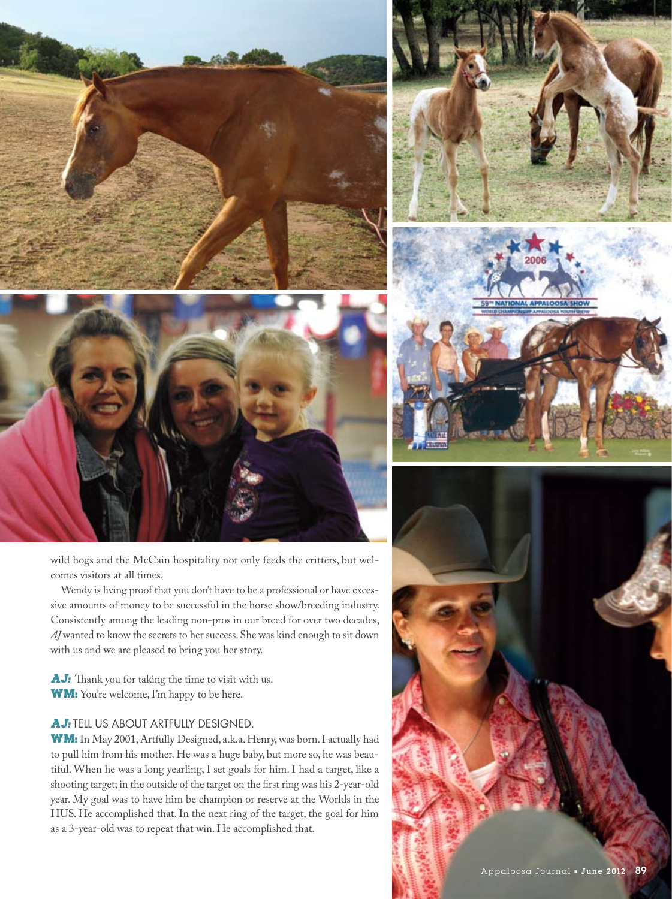

wild hogs and the McCain hospitality not only feeds the critters, but welcomes visitors at all times.

Wendy is living proof that you don't have to be a professional or have excessive amounts of money to be successful in the horse show/breeding industry. Consistently among the leading non-pros in our breed for over two decades, *AJ* wanted to know the secrets to her success.She was kind enough to sit down with us and we are pleased to bring you her story.

AJ: Thank you for taking the time to visit with us. **WM:** You're welcome, I'm happy to be here.

# **AJ: TELL US ABOUT ARTFULLY DESIGNED.**

WM: In May 2001, Artfully Designed, a.k.a. Henry, was born. I actually had to pull him from his mother. He was a huge baby, but more so, he was beautiful. When he was a long yearling, I set goals for him. I had a target, like a shooting target; in the outside of the target on the first ring was his 2-year-old year. My goal was to have him be champion or reserve at the Worlds in the HUS. He accomplished that. In the next ring of the target, the goal for him as a 3-year-old was to repeat that win. He accomplished that.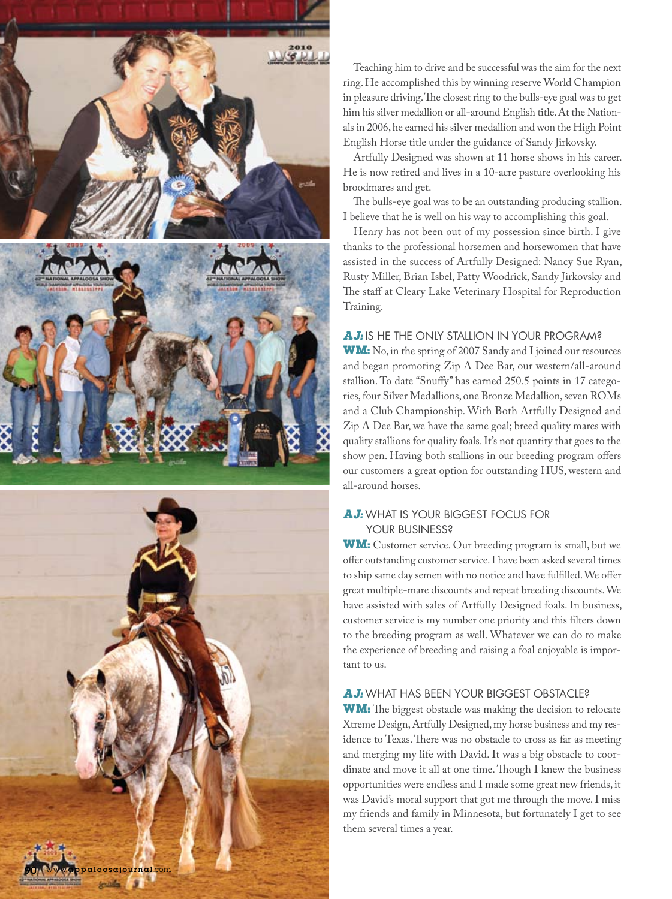

Teaching him to drive and be successful was the aim for the next ring.He accomplished this by winning reserve World Champion in pleasure driving. The closest ring to the bulls-eye goal was to get him his silver medallion or all-around English title. At the Nationals in 2006,he earned his silver medallion and won the High Point English Horse title under the guidance of Sandy Jirkovsky.

Artfully Designed was shown at 11 horse shows in his career. He is now retired and lives in a 10-acre pasture overlooking his broodmares and get.

The bulls-eye goal was to be an outstanding producing stallion. I believe that he is well on his way to accomplishing this goal.

Henry has not been out of my possession since birth. I give thanks to the professional horsemen and horsewomen that have assisted in the success of Artfully Designed: Nancy Sue Ryan, Rusty Miller, Brian Isbel, Patty Woodrick, Sandy Jirkovsky and The staff at Cleary Lake Veterinary Hospital for Reproduction Training.

### **AJ:** IS HE THE ONLY STALLION IN YOUR PROGRAM?

WM: No, in the spring of 2007 Sandy and I joined our resources and began promoting Zip A Dee Bar, our western/all-around stallion. To date "Snuffy" has earned 250.5 points in 17 categories, four Silver Medallions, one Bronze Medallion, seven ROMs and a Club Championship. With Both Artfully Designed and Zip A Dee Bar, we have the same goal; breed quality mares with quality stallions for quality foals.It's not quantity that goes to the show pen. Having both stallions in our breeding program offers our customers a great option for outstanding HUS, western and all-around horses.

## **AJ:** WHAT IS YOUR BIGGEST FOCUS FOR YOUR BUSINESS?

**WM:** Customer service. Our breeding program is small, but we offer outstanding customer service. I have been asked several times to ship same day semen with no notice and have fulfilled. We offer great multiple-mare discounts and repeat breeding discounts.We have assisted with sales of Artfully Designed foals. In business, customer service is my number one priority and this filters down to the breeding program as well. Whatever we can do to make the experience of breeding and raising a foal enjoyable is important to us.

#### **AJ:** WHAT HAS BEEN YOUR BIGGEST OBSTACLE?

**WM:** The biggest obstacle was making the decision to relocate Xtreme Design,Artfully Designed,my horse business and my residence to Texas. There was no obstacle to cross as far as meeting and merging my life with David. It was a big obstacle to coordinate and move it all at one time. Though I knew the business opportunities were endless and I made some great new friends, it was David's moral support that got me through the move.I miss my friends and family in Minnesota, but fortunately I get to see them several times a year.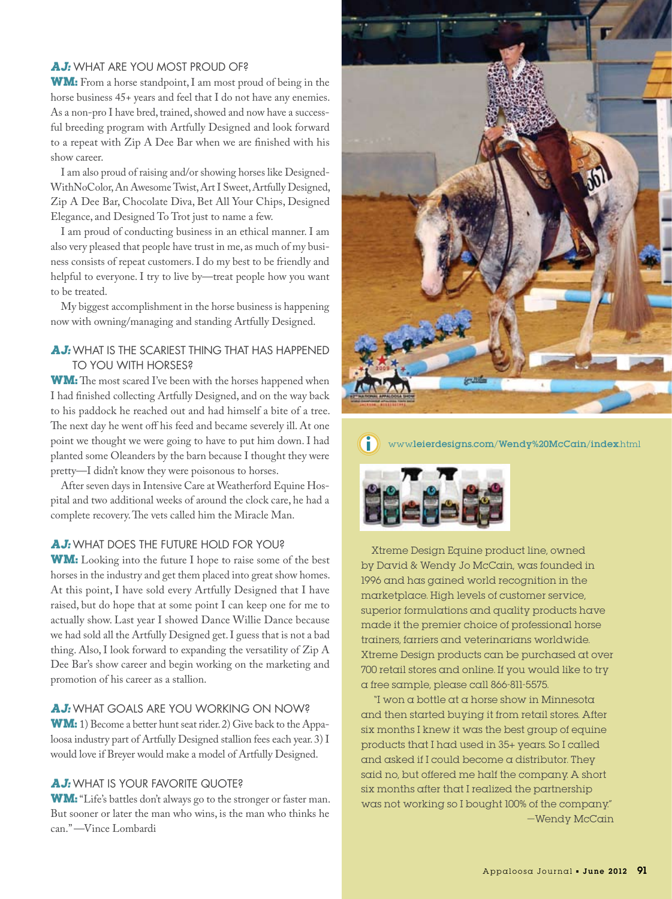#### **AJ:** WHAT ARE YOU MOST PROUD OF?

**WM:** From a horse standpoint, I am most proud of being in the horse business 45+ years and feel that I do not have any enemies. As a non-pro I have bred, trained, showed and now have a successful breeding program with Artfully Designed and look forward to a repeat with Zip A Dee Bar when we are finished with his show career.

I am also proud of raising and/or showing horses like Designed-WithNoColor,An AwesomeTwist,ArtI Sweet,Artfully Designed, Zip A Dee Bar, Chocolate Diva, Bet All Your Chips, Designed Elegance, and Designed To Trot just to name a few.

I am proud of conducting business in an ethical manner. I am also very pleased that people have trust in me, as much of my business consists of repeat customers.I do my best to be friendly and helpful to everyone. I try to live by—treat people how you want to be treated.

My biggest accomplishment in the horse business is happening now with owning/managing and standing Artfully Designed.

#### **AJ:** WHAT IS THE SCARIEST THING THAT HAS HAPPENED TO YOU WITH HORSES?

**WM:** The most scared I've been with the horses happened when I had finished collecting Artfully Designed, and on the way back to his paddock he reached out and had himself a bite of a tree. The next day he went off his feed and became severely ill. At one point we thought we were going to have to put him down.I had planted some Oleanders by the barn because I thought they were pretty—I didn't know they were poisonous to horses.

After seven days in Intensive Care at Weatherford Equine Hospital and two additional weeks of around the clock care, he had a complete recovery. The vets called him the Miracle Man.

#### **AJ:** WHAT DOES THE FUTURE HOLD FOR YOU?

**WM:** Looking into the future I hope to raise some of the best horses in the industry and get them placed into great show homes. At this point, I have sold every Artfully Designed that I have raised, but do hope that at some point I can keep one for me to actually show. Last year I showed Dance Willie Dance because we had sold all the Artfully Designed get.I guess that is not a bad thing. Also, I look forward to expanding the versatility of Zip A Dee Bar's show career and begin working on the marketing and promotion of his career as a stallion.

#### **AJ:** WHAT GOALS ARE YOU WORKING ON NOW?

**WM:** 1) Become a better hunt seat rider. 2) Give back to the Appaloosa industry part of Artfully Designed stallion fees each year. 3) I would love if Breyer would make a model of Artfully Designed.

#### **AJ:** WHAT IS YOUR FAVORITE QUOTE?

WM: "Life's battles don't always go to the stronger or faster man. But sooner or later the man who wins, is the man who thinks he can."—Vince Lombardi



# $\small \textbf{www.leierdesigns.com/Wendy\%20McCain/index.html}$



Xtreme Design Equine product line, owned by David & Wendy Jo McCain, was founded in 1996 and has gained world recognition in the marketplace. High levels of customer service, superior formulations and quality products have made it the premier choice of professional horse trainers, farriers and veterinarians worldwide. Xtreme Design products can be purchased at over 700 retail stores and online. If you would like to try  $\alpha$  free sample, please call 866-811-5575.

"I won  $\alpha$  bottle at  $\alpha$  horse show in Minnesota and then started buying it from retail stores. After six months I knew it was the best group of equine products that I had used in 35+ years. So I called and asked if I could become a distributor. They said no, but offered me half the company. A short six months after that I realized the partnership was not working so I bought 100% of the company."  $-W$ endy McCain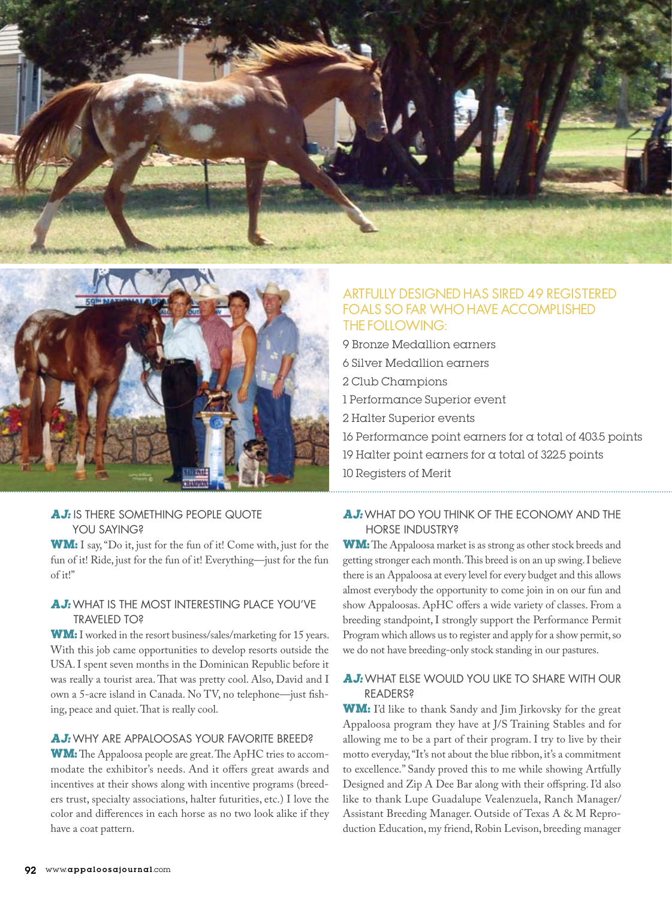



## **AJ: IS THERE SOMETHING PEOPLE QUOTE** YOU SAYING?

**WM:** I say, "Do it, just for the fun of it! Come with, just for the fun of it! Ride, just for the fun of it! Everything—just for the fun of it!"

## **AJ:** WHAT IS THE MOST INTERESTING PLACE YOU'VE TRAVELED TO?

WM: I worked in the resort business/sales/marketing for 15 years. With this job came opportunities to develop resorts outside the USA.I spent seven months in the Dominican Republic before it was really a tourist area. That was pretty cool. Also, David and I own a 5-acre island in Canada. No TV, no telephone—just fishing, peace and quiet. That is really cool.

#### **AJ:** WHY ARE APPALOOSAS YOUR FAVORITE BREED?

**WM:** The Appaloosa people are great. The ApHC tries to accommodate the exhibitor's needs. And it offers great awards and incentives at their shows along with incentive programs (breeders trust, specialty associations, halter futurities, etc.) I love the color and differences in each horse as no two look alike if they have a coat pattern.

# ARTFULLY DESIGNED HAS SIRED 49 REGISTERED FOALS SO FAR WHO HAVE ACCOMPLISHED THE FOLLOWING:

9 Bronze Medallion earners 6 Silver Medallion earners 2 Club Champions 1 Performance Superior event 2 Halter Superior events 16 Performance point earners for a total of 403.5 points 19 Halter point earners for a total of 322.5 points 10 Registers of Merit

## **AJ:** WHAT DO YOU THINK OF THE ECONOMY AND THE HORSE INDUSTRY?

**WM:** The Appaloosa market is as strong as other stock breeds and getting stronger each month. This breed is on an up swing. I believe there is an Appaloosa at every level for every budget and this allows almost everybody the opportunity to come join in on our fun and show Appaloosas. ApHC offers a wide variety of classes. From a breeding standpoint, I strongly support the Performance Permit Program which allows us to register and apply for a show permit, so we do not have breeding-only stock standing in our pastures.

## **AJ:** WHAT ELSE WOULD YOU LIKE TO SHARE WITH OUR READERS?

**WM:** I'd like to thank Sandy and Jim Jirkovsky for the great Appaloosa program they have at J/S Training Stables and for allowing me to be a part of their program. I try to live by their motto everyday,"It's not about the blue ribbon, it's a commitment to excellence." Sandy proved this to me while showing Artfully Designed and Zip A Dee Bar along with their offspring. I'd also like to thank Lupe Guadalupe Vealenzuela, Ranch Manager/ Assistant Breeding Manager. Outside of Texas A & M Reproduction Education, my friend, Robin Levison, breeding manager